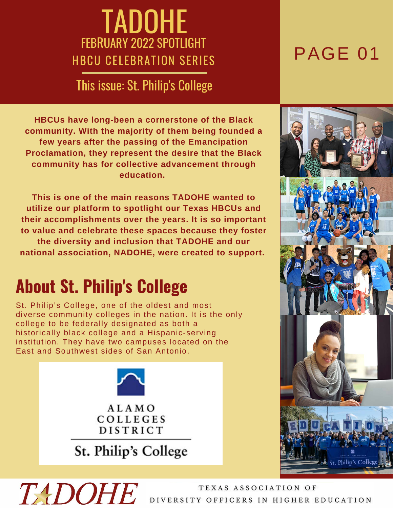# **TADOHE** FEBRUARY 2022 SPOTLIGHT<br>HBCU CELEBRATION SERIES PAGE 01

#### This issue: St. Philip's College

**HBCUs have long-been a cornerstone of the Black community. With the majority of them being founded a few years after the passing of the Emancipation Proclamation, they represent the desire that the Black community has for collective advancement through education.**

**This is one of the main reasons TADOHE wanted to utilize our platform to spotlight our Texas HBCUs and their accomplishments over the years. It is so important to value and celebrate these spaces because they foster the diversity and inclusion that TADOHE and our national association, NADOHE, were created to support.**

#### **About St. Philip's College**

**TADOHE** 

St. Philip's College, one of the oldest and most diverse community colleges in the nation. It is the only college to be federally designated as both a historically black college and a Hispanic-serving institution. They have two campuses located on the East and Southwest sides of San Antonio.



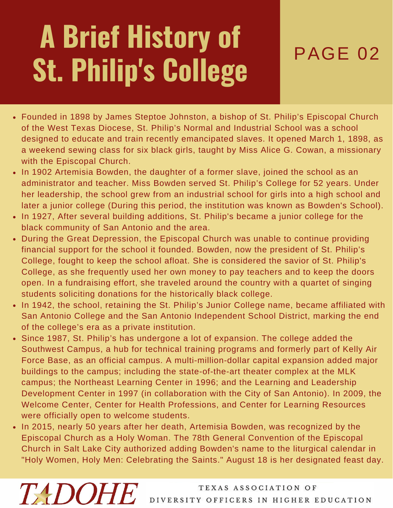# **A Brief History of** St. Philip's College

- Founded in 1898 by James Steptoe Johnston, a bishop of St. Philip's Episcopal Church of the West Texas Diocese, St. Philip's Normal and Industrial School was a school designed to educate and train recently emancipated slaves. It opened March 1, 1898, as a weekend sewing class for six black girls, taught by Miss Alice G. Cowan, a missionary with the Episcopal Church.
- In 1902 Artemisia Bowden, the daughter of a former slave, joined the school as an administrator and teacher. Miss Bowden served St. Philip's College for 52 years. Under her leadership, the school grew from an industrial school for girls into a high school and later a junior college (During this period, the institution was known as Bowden's School).
- In 1927, After several building additions, St. Philip's became a junior college for the black community of San Antonio and the area.
- During the Great Depression, the Episcopal Church was unable to continue providing financial support for the school it founded. Bowden, now the president of St. Philip's College, fought to keep the school afloat. She is considered the savior of St. Philip's College, as she frequently used her own money to pay teachers and to keep the doors open. In a fundraising effort, she traveled around the country with a quartet of singing students soliciting donations for the historically black college.
- In 1942, the school, retaining the St. Philip's Junior College name, became affiliated with San Antonio College and the San Antonio Independent School District, marking the end of the college's era as a private institution.
- Since 1987, St. Philip's has undergone a lot of expansion. The college added the Southwest Campus, a hub for technical training programs and formerly part of Kelly Air Force Base, as an official campus. A multi-million-dollar capital expansion added major buildings to the campus; including the state-of-the-art theater complex at the MLK campus; the Northeast Learning Center in 1996; and the Learning and Leadership Development Center in 1997 (in collaboration with the City of San Antonio). In 2009, the Welcome Center, Center for Health Professions, and Center for Learning Resources were officially open to welcome students.
- In 2015, nearly 50 years after her death, Artemisia Bowden, was recognized by the Episcopal Church as a Holy Woman. The 78th General Convention of the Episcopal Church in Salt Lake City authorized adding Bowden's name to the liturgical calendar in "Holy Women, Holy Men: Celebrating the Saints." August 18 is her designated feast day.

**TADOHE**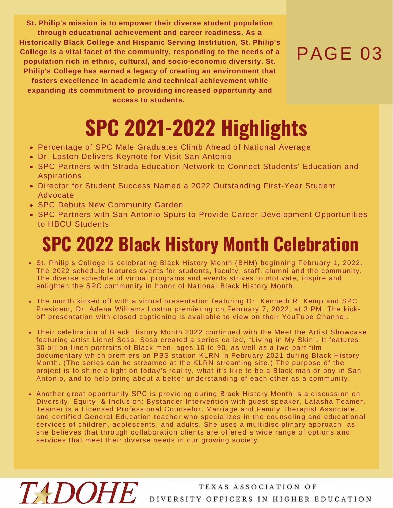**St. Philip's mission is to empower their diverse student population through educational achievement and career readiness. As a Historically Black College and Hispanic Serving Institution, St. Philip's College is a vital facet of the community, responding to the needs of a population rich in ethnic, cultural, and socio-economic diversity. St. Philip's College has earned a legacy of creating an environment that fosters excellence in academic and technical achievement while expanding its commitment to providing increased opportunity and**

**access to students.**

#### PAGE 03

# **SPC 2021-2022 Highlights**

- Percentage of SPC Male Graduates Climb Ahead of National Average
- Dr. Loston Delivers Keynote for Visit San Antonio
- SPC Partners with Strada Education Network to Connect Students' Education and Aspirations
- Director for Student Success Named a 2022 Outstanding First-Year Student Advocate
- SPC Debuts New Community Garden
- SPC Partners with San Antonio Spurs to Provide Career Development Opportunities to HBCU Students

### **SPC 2022 Black History Month Celebration**

- St. Philip's College is celebrating Black History Month (BHM) beginning February 1, 2022. The 2022 schedule features events for students, faculty, staff, alumni and the community. The diverse schedule of virtual programs and events strives to motivate, inspire and enlighten the SPC community in honor of National Black History Month.
- The month kicked off with a virtual presentation featuring Dr. Kenneth R. Kemp and SPC President, Dr. Adena Williams Loston premiering on February 7, 2022, at 3 PM. The kickoff presentation with closed captioning is available to view on their YouTube Channel.
- Their celebration of Black History Month 2022 continued with the Meet the Artist Showcase featuring artist Lionel Sosa. Sosa created a series called, "Living in My Skin". It features 30 oil-on-linen portraits of Black men, ages 10 to 90, as well as a two-part film documentary which premiers on PBS station KLRN in February 2021 during Black History Month. (The series can be streamed at the KLRN streaming site.) The purpose of the project is to shine a light on today's reality, what it's like to be a Black man or boy in San Antonio, and to help bring about a better understanding of each other as a community.
- Another great opportunity SPC is providing during Black History Month is a discussion on Diversity, Equity, & Inclusion: Bystander Intervention with guest speaker, Latasha Teamer. Teamer is a Licensed Professional Counselor, Marriage and Family Therapist Associate, and certified General Education teacher who specializes in the counseling and educational services of children, adolescents, and adults. She uses a multidisciplinary approach, as she believes that through collaboration clients are offered a wide range of options and services that meet their diverse needs in our growing society.

## TEXAS ASSOCIATION OF TEXAS ASSOCIATION OF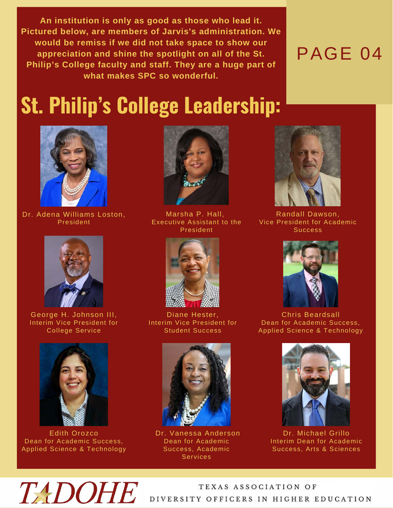**An institution is only as good as those who lead it. Pictured below, are members of Jarvis's administration. We would be remiss if we did not take space to show our appreciation and shine the spotlight on all of the St. Philip's College faculty and staff. They are a huge part of what makes SPC so wonderful.**

#### PAGE 04

### **St. Philip's College Leadership:**



Dr. Adena Williams Loston, President



George H. Johnson III, Interim Vice President for College Service



Edith Orozco Dean for Academic Success, Applied Science & Technology



Marsha P. Hall, Executive Assistant to the President



Diane Hester, Interim Vice President for Student Success



Dr. Vanessa Anderson Dean for Academic Success, Academic Services



Randall Dawson, Vice President for Academic **Success** 



Chris Beardsall Dean for Academic Success, Applied Science & Technology



Dr. Michael Grillo Interim Dean for Academic Success, Arts & Sciences